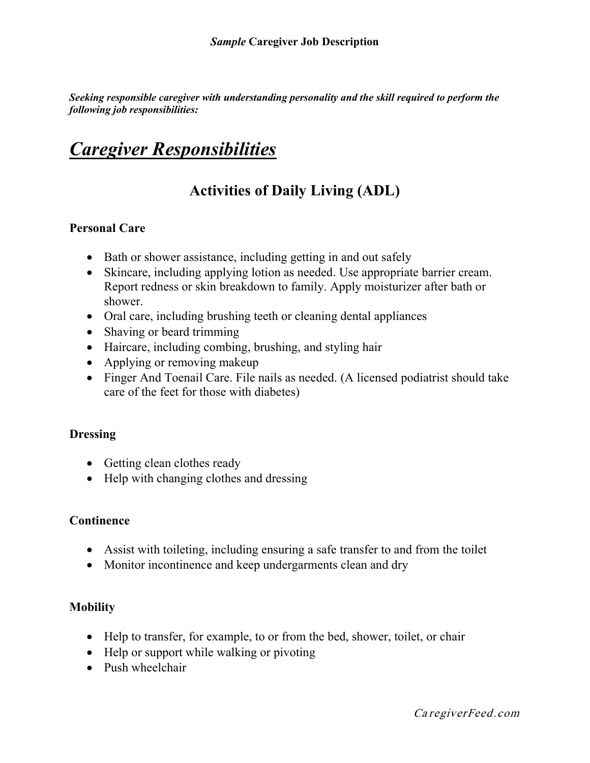*Seeking responsible caregiver with understanding personality and the skill required to perform the following job responsibilities:*

### *Caregiver Responsibilities*

### **Activities of Daily Living (ADL)**

#### **Personal Care**

- Bath or shower assistance, including getting in and out safely
- Skincare, including applying lotion as needed. Use appropriate barrier cream. Report redness or skin breakdown to family. Apply moisturizer after bath or shower.
- Oral care, including brushing teeth or cleaning dental appliances
- Shaving or beard trimming
- Haircare, including combing, brushing, and styling hair
- Applying or removing makeup
- Finger And Toenail Care. File nails as needed. (A licensed podiatrist should take care of the feet for those with diabetes)

#### **Dressing**

- Getting clean clothes ready
- Help with changing clothes and dressing

#### **Continence**

- Assist with toileting, including ensuring a safe transfer to and from the toilet
- Monitor incontinence and keep undergarments clean and dry

#### **Mobility**

- Help to transfer, for example, to or from the bed, shower, toilet, or chair
- Help or support while walking or pivoting
- Push wheelchair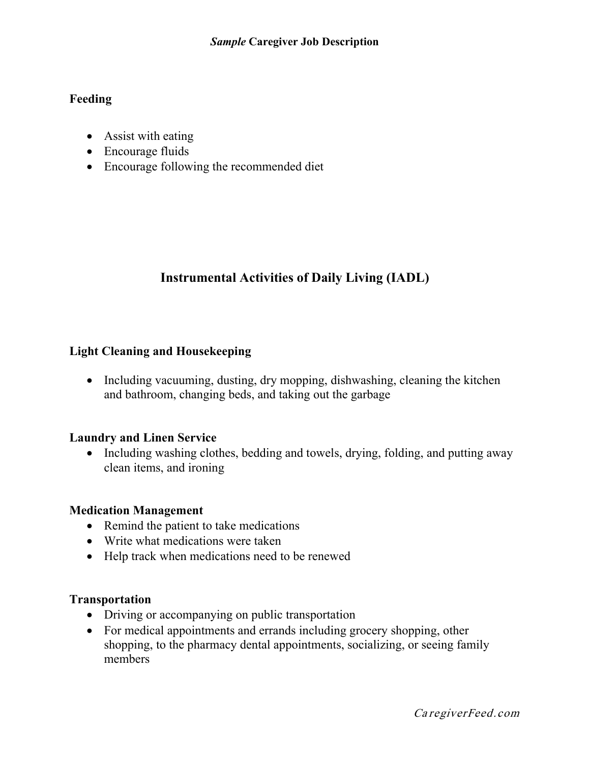#### **Feeding**

- Assist with eating
- Encourage fluids
- Encourage following the recommended diet

### **Instrumental Activities of Daily Living (IADL)**

#### **Light Cleaning and Housekeeping**

• Including vacuuming, dusting, dry mopping, dishwashing, cleaning the kitchen and bathroom, changing beds, and taking out the garbage

#### **Laundry and Linen Service**

• Including washing clothes, bedding and towels, drying, folding, and putting away clean items, and ironing

#### **Medication Management**

- Remind the patient to take medications
- Write what medications were taken
- Help track when medications need to be renewed

#### **Transportation**

- Driving or accompanying on public transportation
- For medical appointments and errands including grocery shopping, other shopping, to the pharmacy dental appointments, socializing, or seeing family members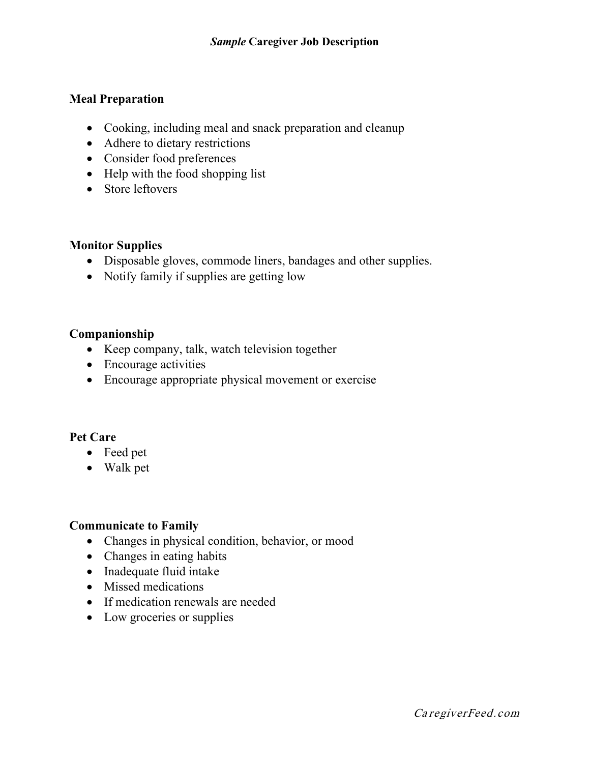#### **Meal Preparation**

- Cooking, including meal and snack preparation and cleanup
- Adhere to dietary restrictions
- Consider food preferences
- Help with the food shopping list
- Store leftovers

#### **Monitor Supplies**

- Disposable gloves, commode liners, bandages and other supplies.
- Notify family if supplies are getting low

#### **Companionship**

- Keep company, talk, watch television together
- Encourage activities
- Encourage appropriate physical movement or exercise

#### **Pet Care**

- Feed pet
- Walk pet

#### **Communicate to Family**

- Changes in physical condition, behavior, or mood
- Changes in eating habits
- Inadequate fluid intake
- Missed medications
- If medication renewals are needed
- Low groceries or supplies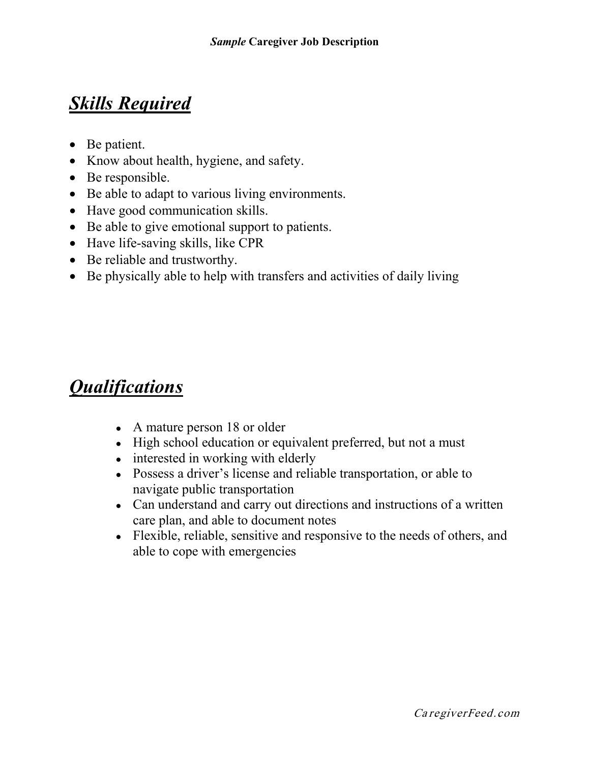## *Skills Required*

- Be patient.
- Know about health, hygiene, and safety.
- Be responsible.
- Be able to adapt to various living environments.
- Have good communication skills.
- Be able to give emotional support to patients.
- Have life-saving skills, like CPR
- Be reliable and trustworthy.
- Be physically able to help with transfers and activities of daily living

# *Qualifications*

- A mature person 18 or older
- High school education or equivalent preferred, but not a must
- interested in working with elderly
- Possess a driver's license and reliable transportation, or able to navigate public transportation
- Can understand and carry out directions and instructions of a written care plan, and able to document notes
- Flexible, reliable, sensitive and responsive to the needs of others, and able to cope with emergencies